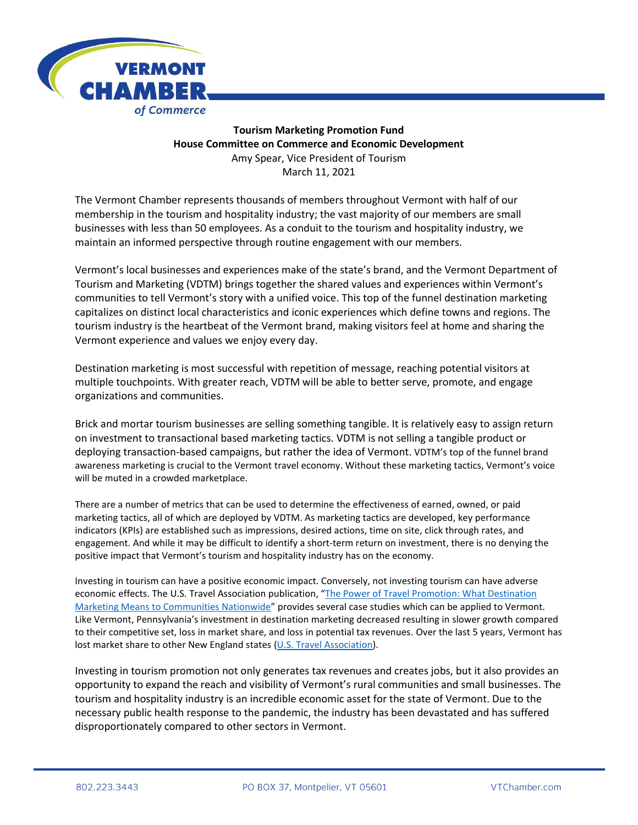

## **Tourism Marketing Promotion Fund House Committee on Commerce and Economic Development** Amy Spear, Vice President of Tourism March 11, 2021

The Vermont Chamber represents thousands of members throughout Vermont with half of our membership in the tourism and hospitality industry; the vast majority of our members are small businesses with less than 50 employees. As a conduit to the tourism and hospitality industry, we maintain an informed perspective through routine engagement with our members.

Vermont's local businesses and experiences make of the state's brand, and the Vermont Department of Tourism and Marketing (VDTM) brings together the shared values and experiences within Vermont's communities to tell Vermont's story with a unified voice. This top of the funnel destination marketing capitalizes on distinct local characteristics and iconic experiences which define towns and regions. The tourism industry is the heartbeat of the Vermont brand, making visitors feel at home and sharing the Vermont experience and values we enjoy every day.

Destination marketing is most successful with repetition of message, reaching potential visitors at multiple touchpoints. With greater reach, VDTM will be able to better serve, promote, and engage organizations and communities.

Brick and mortar tourism businesses are selling something tangible. It is relatively easy to assign return on investment to transactional based marketing tactics. VDTM is not selling a tangible product or deploying transaction-based campaigns, but rather the idea of Vermont. VDTM's top of the funnel brand awareness marketing is crucial to the Vermont travel economy. Without these marketing tactics, Vermont's voice will be muted in a crowded marketplace.

There are a number of metrics that can be used to determine the effectiveness of earned, owned, or paid marketing tactics, all of which are deployed by VDTM. As marketing tactics are developed, key performance indicators (KPIs) are established such as impressions, desired actions, time on site, click through rates, and engagement. And while it may be difficult to identify a short-term return on investment, there is no denying the positive impact that Vermont's tourism and hospitality industry has on the economy.

Investing in tourism can have a positive economic impact. Conversely, not investing tourism can have adverse economic effects. The U.S. Travel Association publication, "The Power of Travel Promotion: What Destination [Marketing Means to Communities Nationwide](https://www.ustravel.org/research/power-travel-promotion-what-destination-marketing-means-communities-nationwide)" provides several case studies which can be applied to Vermont. Like Vermont, Pennsylvania's investment in destination marketing decreased resulting in slower growth compared to their competitive set, loss in market share, and loss in potential tax revenues. Over the last 5 years, Vermont has lost market share to other New England states [\(U.S. Travel Association\)](https://travelanalytics.ustravel.org/Travel/Map#tab:travel).

Investing in tourism promotion not only generates tax revenues and creates jobs, but it also provides an opportunity to expand the reach and visibility of Vermont's rural communities and small businesses. The tourism and hospitality industry is an incredible economic asset for the state of Vermont. Due to the necessary public health response to the pandemic, the industry has been devastated and has suffered disproportionately compared to other sectors in Vermont.